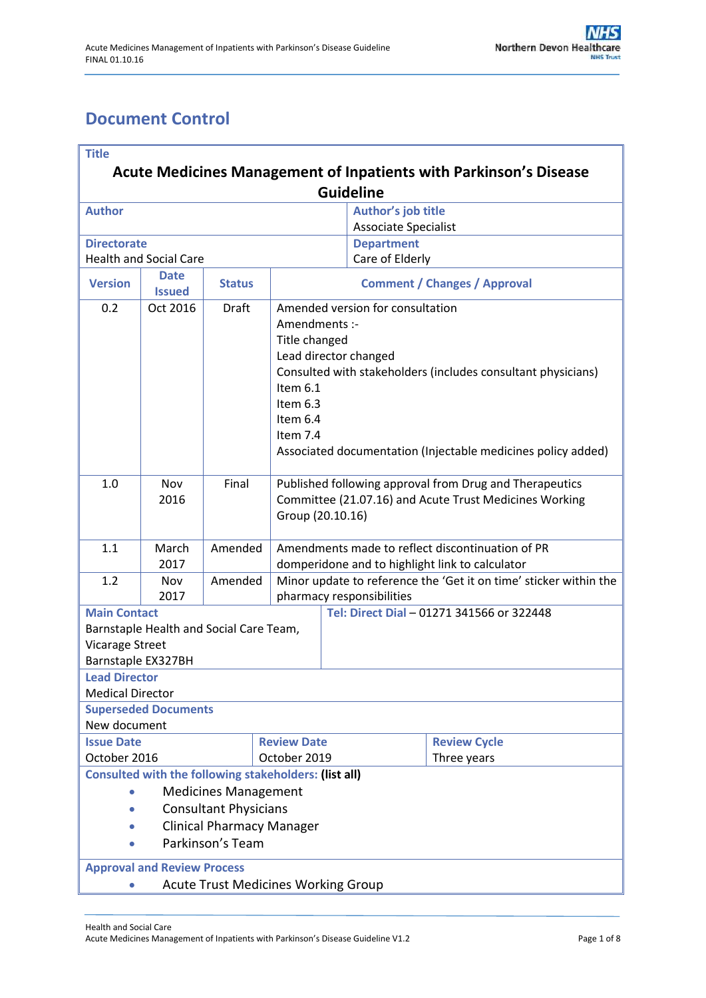# <span id="page-0-0"></span>**Document Control**

| <b>Title</b>                                                             |                                        |               |                                                 |                                                                                                |                                                  |                                                              |  |  |
|--------------------------------------------------------------------------|----------------------------------------|---------------|-------------------------------------------------|------------------------------------------------------------------------------------------------|--------------------------------------------------|--------------------------------------------------------------|--|--|
| <b>Acute Medicines Management of Inpatients with Parkinson's Disease</b> |                                        |               |                                                 |                                                                                                |                                                  |                                                              |  |  |
| <b>Guideline</b>                                                         |                                        |               |                                                 |                                                                                                |                                                  |                                                              |  |  |
| <b>Author</b>                                                            |                                        |               |                                                 |                                                                                                | Author's job title                               |                                                              |  |  |
|                                                                          |                                        |               |                                                 |                                                                                                | <b>Associate Specialist</b>                      |                                                              |  |  |
| <b>Directorate</b>                                                       |                                        |               |                                                 |                                                                                                | <b>Department</b>                                |                                                              |  |  |
| <b>Health and Social Care</b>                                            |                                        |               | Care of Elderly                                 |                                                                                                |                                                  |                                                              |  |  |
| <b>Version</b>                                                           | <b>Date</b><br><b>Issued</b>           | <b>Status</b> |                                                 | <b>Comment / Changes / Approval</b>                                                            |                                                  |                                                              |  |  |
| 0.2                                                                      | Oct 2016                               | Draft         |                                                 | Amended version for consultation                                                               |                                                  |                                                              |  |  |
|                                                                          |                                        |               |                                                 | Amendments :-                                                                                  |                                                  |                                                              |  |  |
|                                                                          | Title changed<br>Lead director changed |               |                                                 |                                                                                                |                                                  |                                                              |  |  |
|                                                                          |                                        |               |                                                 |                                                                                                |                                                  |                                                              |  |  |
|                                                                          |                                        |               | Item 6.1                                        |                                                                                                |                                                  | Consulted with stakeholders (includes consultant physicians) |  |  |
|                                                                          |                                        |               | Item 6.3                                        |                                                                                                |                                                  |                                                              |  |  |
|                                                                          |                                        |               | Item 6.4                                        |                                                                                                |                                                  |                                                              |  |  |
|                                                                          |                                        |               | Item 7.4                                        |                                                                                                |                                                  |                                                              |  |  |
|                                                                          |                                        |               |                                                 |                                                                                                |                                                  | Associated documentation (Injectable medicines policy added) |  |  |
|                                                                          |                                        |               |                                                 |                                                                                                |                                                  |                                                              |  |  |
| 1.0                                                                      | Nov                                    | Final         |                                                 | Published following approval from Drug and Therapeutics                                        |                                                  |                                                              |  |  |
|                                                                          | 2016                                   |               |                                                 |                                                                                                |                                                  | Committee (21.07.16) and Acute Trust Medicines Working       |  |  |
|                                                                          |                                        |               | Group (20.10.16)                                |                                                                                                |                                                  |                                                              |  |  |
|                                                                          |                                        |               |                                                 |                                                                                                |                                                  |                                                              |  |  |
| 1.1                                                                      | March<br>2017                          | Amended       |                                                 |                                                                                                | Amendments made to reflect discontinuation of PR |                                                              |  |  |
| 1.2                                                                      | Nov                                    | Amended       | domperidone and to highlight link to calculator |                                                                                                |                                                  |                                                              |  |  |
|                                                                          | 2017                                   |               |                                                 | Minor update to reference the 'Get it on time' sticker within the<br>pharmacy responsibilities |                                                  |                                                              |  |  |
| <b>Main Contact</b><br>Tel: Direct Dial - 01271 341566 or 322448         |                                        |               |                                                 |                                                                                                |                                                  |                                                              |  |  |
| Barnstaple Health and Social Care Team,                                  |                                        |               |                                                 |                                                                                                |                                                  |                                                              |  |  |
| <b>Vicarage Street</b>                                                   |                                        |               |                                                 |                                                                                                |                                                  |                                                              |  |  |
| Barnstaple EX327BH                                                       |                                        |               |                                                 |                                                                                                |                                                  |                                                              |  |  |
| <b>Lead Director</b>                                                     |                                        |               |                                                 |                                                                                                |                                                  |                                                              |  |  |
| <b>Medical Director</b>                                                  |                                        |               |                                                 |                                                                                                |                                                  |                                                              |  |  |
|                                                                          | <b>Superseded Documents</b>            |               |                                                 |                                                                                                |                                                  |                                                              |  |  |
| New document                                                             |                                        |               |                                                 |                                                                                                |                                                  |                                                              |  |  |
| <b>Issue Date</b>                                                        |                                        |               | <b>Review Date</b>                              |                                                                                                |                                                  | <b>Review Cycle</b>                                          |  |  |
| October 2016                                                             |                                        |               |                                                 | October 2019                                                                                   |                                                  | Three years                                                  |  |  |
| <b>Consulted with the following stakeholders: (list all)</b>             |                                        |               |                                                 |                                                                                                |                                                  |                                                              |  |  |
| <b>Medicines Management</b><br>$\bullet$                                 |                                        |               |                                                 |                                                                                                |                                                  |                                                              |  |  |
| <b>Consultant Physicians</b><br>$\bullet$                                |                                        |               |                                                 |                                                                                                |                                                  |                                                              |  |  |
| <b>Clinical Pharmacy Manager</b>                                         |                                        |               |                                                 |                                                                                                |                                                  |                                                              |  |  |
| Parkinson's Team                                                         |                                        |               |                                                 |                                                                                                |                                                  |                                                              |  |  |
| <b>Approval and Review Process</b>                                       |                                        |               |                                                 |                                                                                                |                                                  |                                                              |  |  |
| <b>Acute Trust Medicines Working Group</b>                               |                                        |               |                                                 |                                                                                                |                                                  |                                                              |  |  |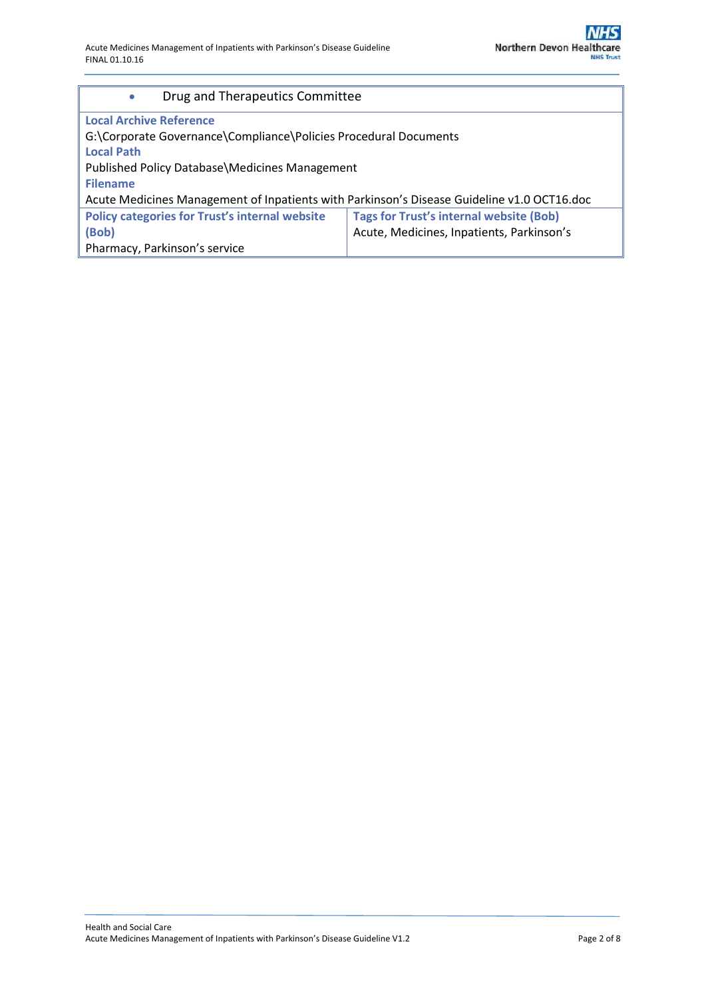| Drug and Therapeutics Committee<br>$\bullet$                                               |                                                |  |  |  |  |  |
|--------------------------------------------------------------------------------------------|------------------------------------------------|--|--|--|--|--|
| <b>Local Archive Reference</b>                                                             |                                                |  |  |  |  |  |
| G:\Corporate Governance\Compliance\Policies Procedural Documents                           |                                                |  |  |  |  |  |
| <b>Local Path</b>                                                                          |                                                |  |  |  |  |  |
| Published Policy Database Medicines Management                                             |                                                |  |  |  |  |  |
| <b>Filename</b>                                                                            |                                                |  |  |  |  |  |
| Acute Medicines Management of Inpatients with Parkinson's Disease Guideline v1.0 OCT16.doc |                                                |  |  |  |  |  |
| <b>Policy categories for Trust's internal website</b>                                      | <b>Tags for Trust's internal website (Bob)</b> |  |  |  |  |  |
| (Bob)                                                                                      | Acute, Medicines, Inpatients, Parkinson's      |  |  |  |  |  |
| Pharmacy, Parkinson's service                                                              |                                                |  |  |  |  |  |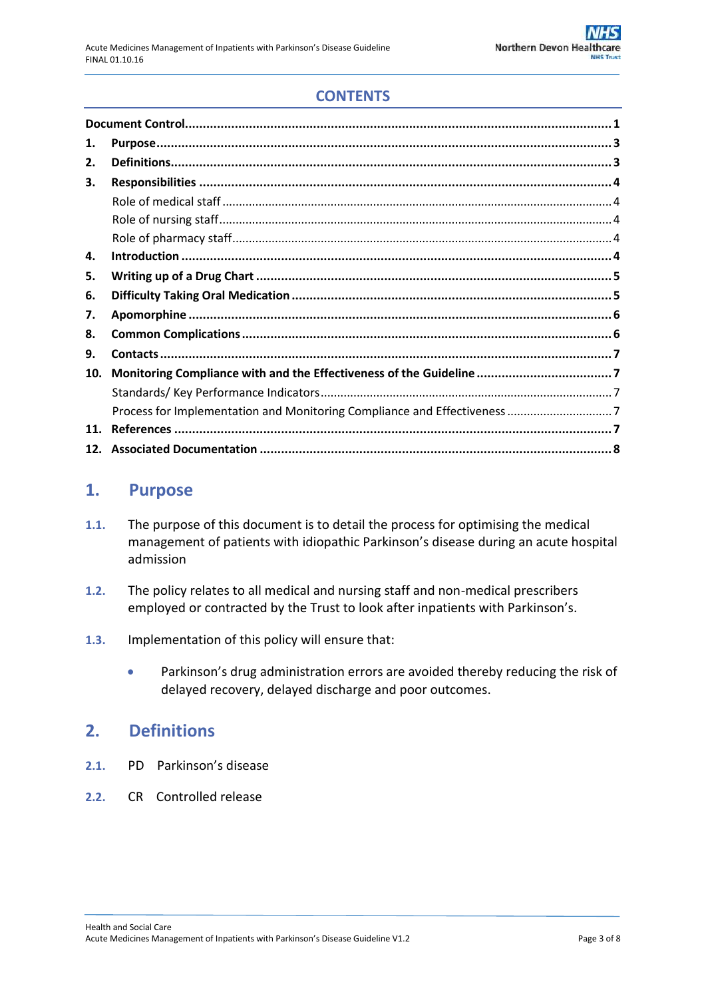## **CONTENTS**

| 1.  |  |
|-----|--|
| 2.  |  |
| З.  |  |
|     |  |
|     |  |
|     |  |
| 4.  |  |
| 5.  |  |
| 6.  |  |
| 7.  |  |
| 8.  |  |
| 9.  |  |
| 10. |  |
|     |  |
|     |  |
| 11. |  |
|     |  |

### <span id="page-2-0"></span>**1. Purpose**

- **1.1.** The purpose of this document is to detail the process for optimising the medical management of patients with idiopathic Parkinson's disease during an acute hospital admission
- **1.2.** The policy relates to all medical and nursing staff and non-medical prescribers employed or contracted by the Trust to look after inpatients with Parkinson's.
- **1.3.** Implementation of this policy will ensure that:
	- Parkinson's drug administration errors are avoided thereby reducing the risk of delayed recovery, delayed discharge and poor outcomes.

### <span id="page-2-1"></span>**2. Definitions**

- **2.1.** PD Parkinson's disease
- **2.2.** CR Controlled release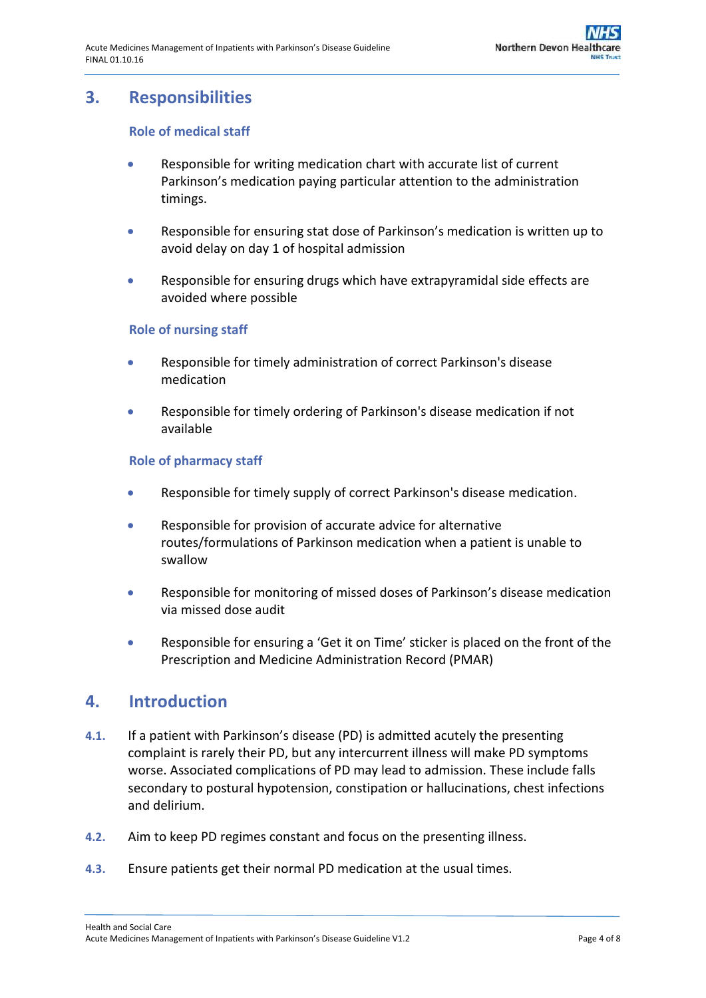## <span id="page-3-1"></span><span id="page-3-0"></span>**3. Responsibilities**

#### **Role of medical staff**

- Responsible for writing medication chart with accurate list of current Parkinson's medication paying particular attention to the administration timings.
- Responsible for ensuring stat dose of Parkinson's medication is written up to avoid delay on day 1 of hospital admission
- Responsible for ensuring drugs which have extrapyramidal side effects are avoided where possible

#### <span id="page-3-2"></span>**Role of nursing staff**

- Responsible for timely administration of correct Parkinson's disease medication
- Responsible for timely ordering of Parkinson's disease medication if not available

#### <span id="page-3-3"></span>**Role of pharmacy staff**

- Responsible for timely supply of correct Parkinson's disease medication.
- Responsible for provision of accurate advice for alternative routes/formulations of Parkinson medication when a patient is unable to swallow
- Responsible for monitoring of missed doses of Parkinson's disease medication via missed dose audit
- Responsible for ensuring a 'Get it on Time' sticker is placed on the front of the Prescription and Medicine Administration Record (PMAR)

### <span id="page-3-4"></span>**4. Introduction**

- **4.1.** If a patient with Parkinson's disease (PD) is admitted acutely the presenting complaint is rarely their PD, but any intercurrent illness will make PD symptoms worse. Associated complications of PD may lead to admission. These include falls secondary to postural hypotension, constipation or hallucinations, chest infections and delirium.
- **4.2.** Aim to keep PD regimes constant and focus on the presenting illness.
- **4.3.** Ensure patients get their normal PD medication at the usual times.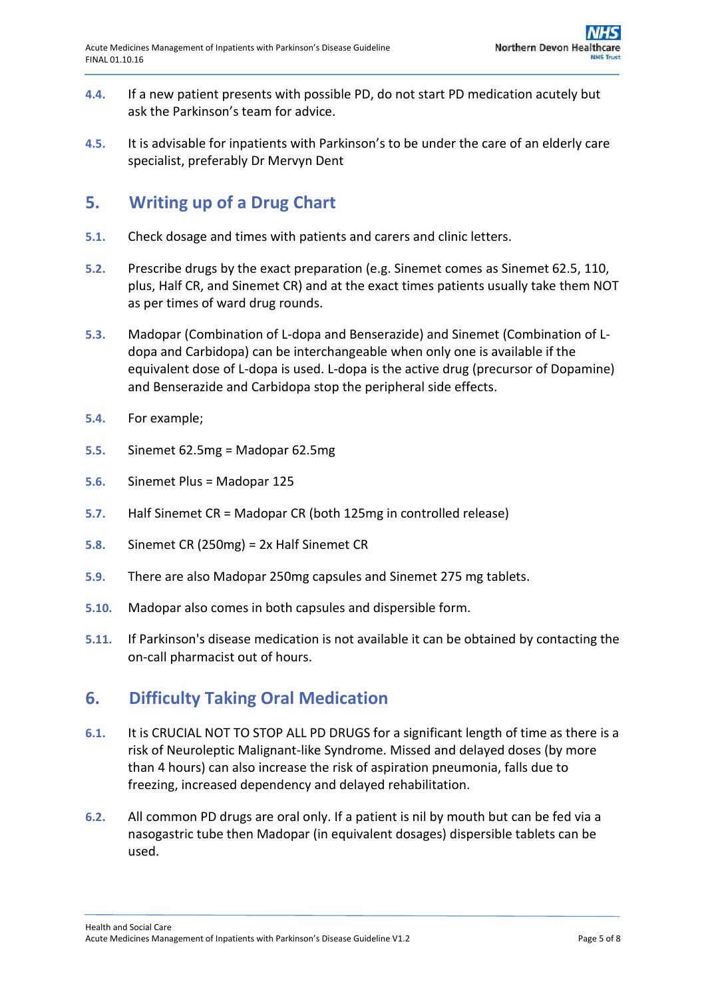- **4.4.** If a new patient presents with possible PD, do not start PD medication acutely but ask the Parkinson's team for advice.
- **4.5.** It is advisable for inpatients with Parkinson's to be under the care of an elderly care specialist, preferably Dr Mervyn Dent

## <span id="page-4-0"></span>**5. Writing up of a Drug Chart**

- **5.1.** Check dosage and times with patients and carers and clinic letters.
- **5.2.** Prescribe drugs by the exact preparation (e.g. Sinemet comes as Sinemet 62.5, 110, plus, Half CR, and Sinemet CR) and at the exact times patients usually take them NOT as per times of ward drug rounds.
- **5.3.** Madopar (Combination of L-dopa and Benserazide) and Sinemet (Combination of Ldopa and Carbidopa) can be interchangeable when only one is available if the equivalent dose of L-dopa is used. L-dopa is the active drug (precursor of Dopamine) and Benserazide and Carbidopa stop the peripheral side effects.
- **5.4.** For example;
- **5.5.** Sinemet 62.5mg = Madopar 62.5mg
- **5.6.** Sinemet Plus = Madopar 125
- **5.7.** Half Sinemet CR = Madopar CR (both 125mg in controlled release)
- **5.8.** Sinemet CR (250mg) = 2x Half Sinemet CR
- **5.9.** There are also Madopar 250mg capsules and Sinemet 275 mg tablets.
- **5.10.** Madopar also comes in both capsules and dispersible form.
- **5.11.** If Parkinson's disease medication is not available it can be obtained by contacting the on-call pharmacist out of hours.

## <span id="page-4-1"></span>**6. Difficulty Taking Oral Medication**

- **6.1.** It is CRUCIAL NOT TO STOP ALL PD DRUGS for a significant length of time as there is a risk of Neuroleptic Malignant-like Syndrome. Missed and delayed doses (by more than 4 hours) can also increase the risk of aspiration pneumonia, falls due to freezing, increased dependency and delayed rehabilitation.
- **6.2.** All common PD drugs are oral only. If a patient is nil by mouth but can be fed via a nasogastric tube then Madopar (in equivalent dosages) dispersible tablets can be used.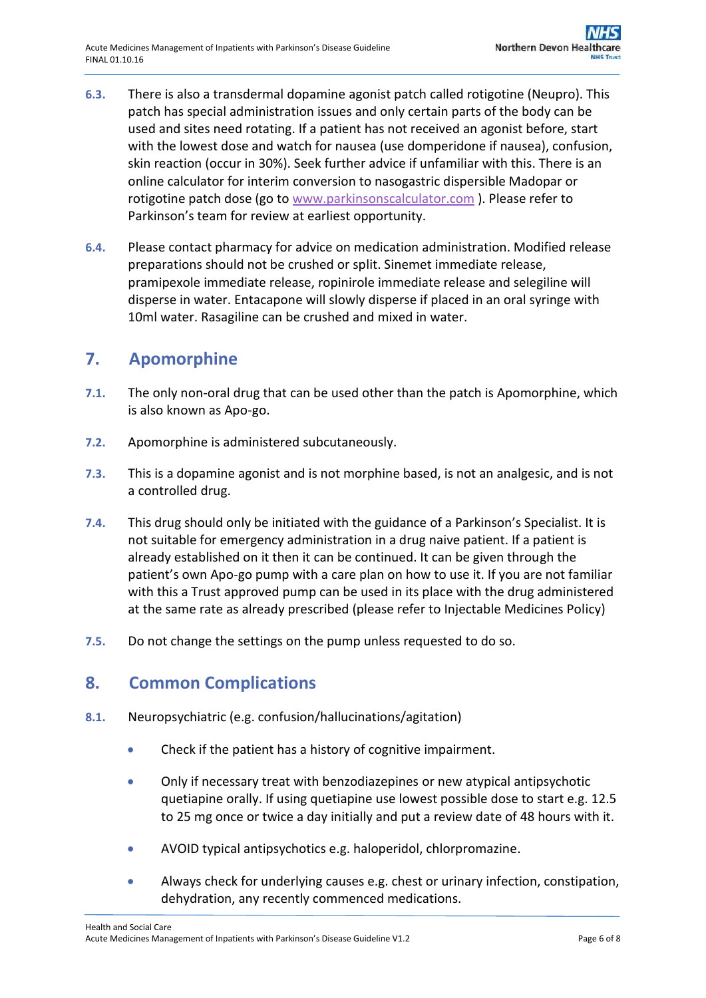- **6.3.** There is also a transdermal dopamine agonist patch called rotigotine (Neupro). This patch has special administration issues and only certain parts of the body can be used and sites need rotating. If a patient has not received an agonist before, start with the lowest dose and watch for nausea (use domperidone if nausea), confusion, skin reaction (occur in 30%). Seek further advice if unfamiliar with this. There is an online calculator for interim conversion to nasogastric dispersible Madopar or rotigotine patch dose (go to [www.parkinsonscalculator.com](http://www.parkinsonscalculator.com/) ). Please refer to Parkinson's team for review at earliest opportunity.
- **6.4.** Please contact pharmacy for advice on medication administration. Modified release preparations should not be crushed or split. Sinemet immediate release, pramipexole immediate release, ropinirole immediate release and selegiline will disperse in water. Entacapone will slowly disperse if placed in an oral syringe with 10ml water. Rasagiline can be crushed and mixed in water.

## <span id="page-5-0"></span>**7. Apomorphine**

- **7.1.** The only non-oral drug that can be used other than the patch is Apomorphine, which is also known as Apo-go.
- **7.2.** Apomorphine is administered subcutaneously.
- **7.3.** This is a dopamine agonist and is not morphine based, is not an analgesic, and is not a controlled drug.
- **7.4.** This drug should only be initiated with the guidance of a Parkinson's Specialist. It is not suitable for emergency administration in a drug naive patient. If a patient is already established on it then it can be continued. It can be given through the patient's own Apo-go pump with a care plan on how to use it. If you are not familiar with this a Trust approved pump can be used in its place with the drug administered at the same rate as already prescribed (please refer to Injectable Medicines Policy)
- **7.5.** Do not change the settings on the pump unless requested to do so.

### <span id="page-5-1"></span>**8. Common Complications**

- **8.1.** Neuropsychiatric (e.g. confusion/hallucinations/agitation)
	- Check if the patient has a history of cognitive impairment.
	- Only if necessary treat with benzodiazepines or new atypical antipsychotic quetiapine orally. If using quetiapine use lowest possible dose to start e.g. 12.5 to 25 mg once or twice a day initially and put a review date of 48 hours with it.
	- AVOID typical antipsychotics e.g. haloperidol, chlorpromazine.
	- Always check for underlying causes e.g. chest or urinary infection, constipation, dehydration, any recently commenced medications.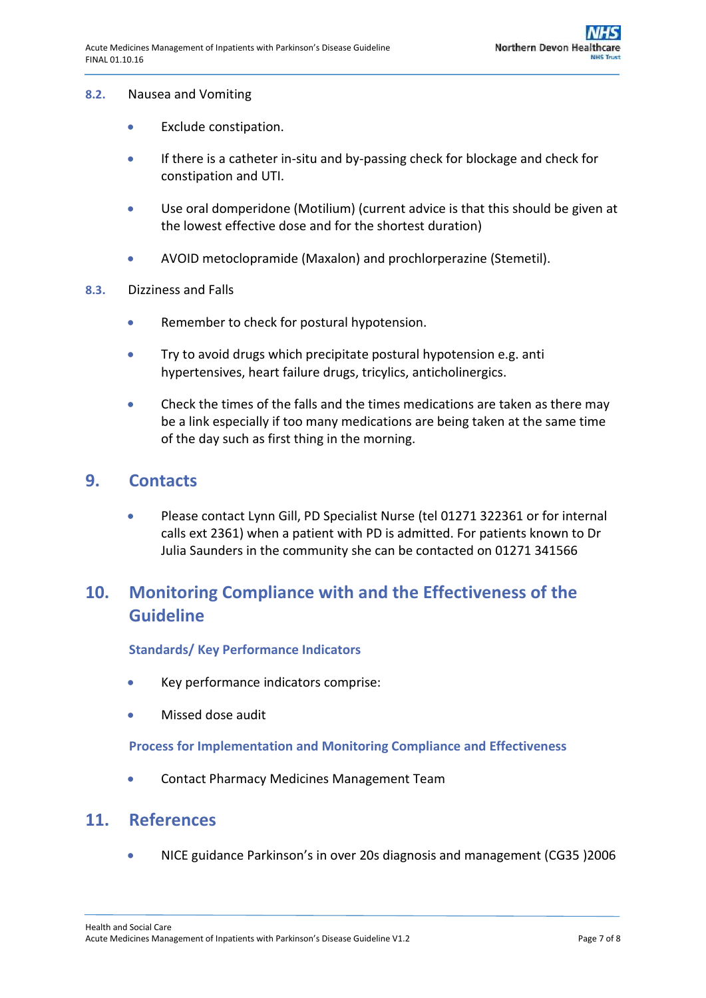#### **8.2.** Nausea and Vomiting

- **•** Exclude constipation.
- **If there is a catheter in-situ and by-passing check for blockage and check for** constipation and UTI.
- Use oral domperidone (Motilium) (current advice is that this should be given at the lowest effective dose and for the shortest duration)
- AVOID metoclopramide (Maxalon) and prochlorperazine (Stemetil).
- **8.3.** Dizziness and Falls
	- Remember to check for postural hypotension.
	- **•** Try to avoid drugs which precipitate postural hypotension e.g. anti hypertensives, heart failure drugs, tricylics, anticholinergics.
	- Check the times of the falls and the times medications are taken as there may be a link especially if too many medications are being taken at the same time of the day such as first thing in the morning.

### <span id="page-6-0"></span>**9. Contacts**

 Please contact Lynn Gill, PD Specialist Nurse (tel 01271 322361 or for internal calls ext 2361) when a patient with PD is admitted. For patients known to Dr Julia Saunders in the community she can be contacted on 01271 341566

## <span id="page-6-1"></span>**10. Monitoring Compliance with and the Effectiveness of the Guideline**

#### <span id="page-6-2"></span>**Standards/ Key Performance Indicators**

- Key performance indicators comprise:
- Missed dose audit

#### <span id="page-6-3"></span>**Process for Implementation and Monitoring Compliance and Effectiveness**

Contact Pharmacy Medicines Management Team

### <span id="page-6-4"></span>**11. References**

NICE guidance Parkinson's in over 20s diagnosis and management (CG35 )2006